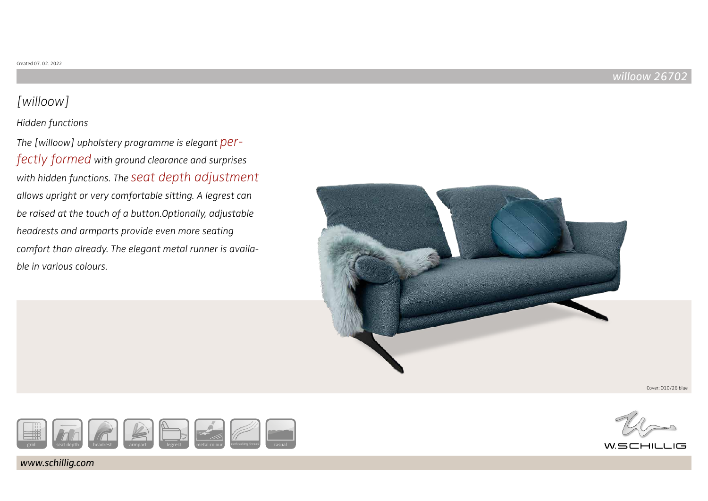# [willoow]

## Hidden functions

The [willoow] upholstery programme is elegant perfectly formed with ground clearance and surprises with hidden functions. The seat depth adjustment allows upright or very comfortable sitting. A legrest can be raised at the touch of a button.Optionally, adjustable headrests and armparts provide even more seating comfort than already. The elegant metal runner is available in various colours.



Cover: O10/26 blue



www.schillig.com



 $W \subseteq C$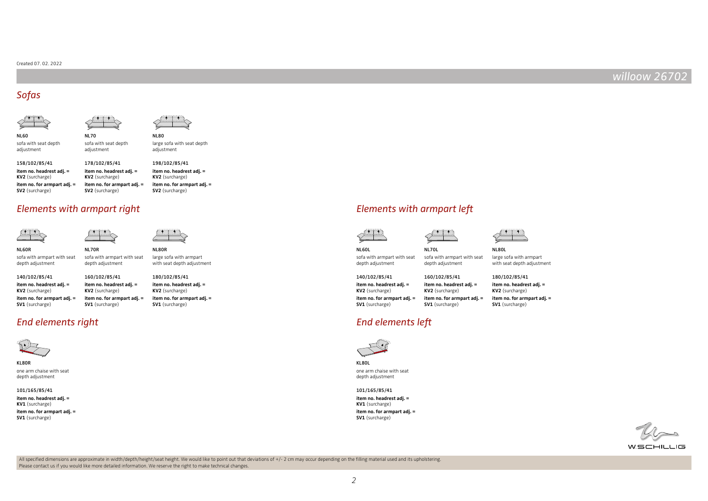#### Created 07. 02. 2022

## willoow 26702

## Sofas





NL60



sofa with seat depth adjustment

adjustment

**item no. headrest adj. = KV2** (surcharge) **item no. for armpart adj. = SV2** (surcharge) 158/102/85/41 **item no. headrest adj. = KV2** (surcharge) **item no. for armpart adj. = SV2** (surcharge) 178/102/85/41

**item no. headrest adj. = KV2** (surcharge) **item no. for armpart adj. = SV2** (surcharge)

## Elements with armpart right Elements with armpart left

NL70R

**item no. headrest adj. = KV2** (surcharge) **item no. for armpart adj. = SV1** (surcharge)

160/102/85/41

NL70

sofa with seat depth adjustment





sofa with armpart with seat depth adjustment depth adjustment

**item no. headrest adj. = KV2** (surcharge) **item no. for armpart adj. = SV1** (surcharge)

140/102/85/41

sofa with armpart with seat NL80R large sofa with armpart with seat depth adjustment

**item no. headrest adj. = KV2** (surcharge) **item no. for armpart adj. = SV1** (surcharge) 180/102/85/41

End elements right End elements left



KL80R one arm chaise with seat depth adjustment

**item no. headrest adj. = KV1** (surcharge) 101/165/85/41

**item no. for armpart adj. = SV1** (surcharge)





```
NL70L
```
depth adjustment

160/102/85/41

**item no. headrest adj. = KV2** (surcharge) **item no. for armpart adj. = SV1** (surcharge)



sofa with armpart with seat depth adjustment

140/102/85/41

**item no. headrest adj. = KV2** (surcharge) **item no. for armpart adj. = SV1** (surcharge)

sofa with armpart with seat large sofa with armpart with seat depth adjustment

180/102/85/41

**item no. headrest adj. = KV2** (surcharge)

**item no. for armpart adj. = SV1** (surcharge)



KL80L one arm chaise with seat depth adjustment

**item no. headrest adj. = KV1** (surcharge) **item no. for armpart adj. = SV1** (surcharge) 101/165/85/41



WSCHILLIG

All specified dimensions are approximate in width/depth/height/seat height. We would like to point out that deviations of +/- 2 cm may occur depending on the filling material used and its upholstering. Please contact us if you would like more detailed information. We reserve the right to make technical changes.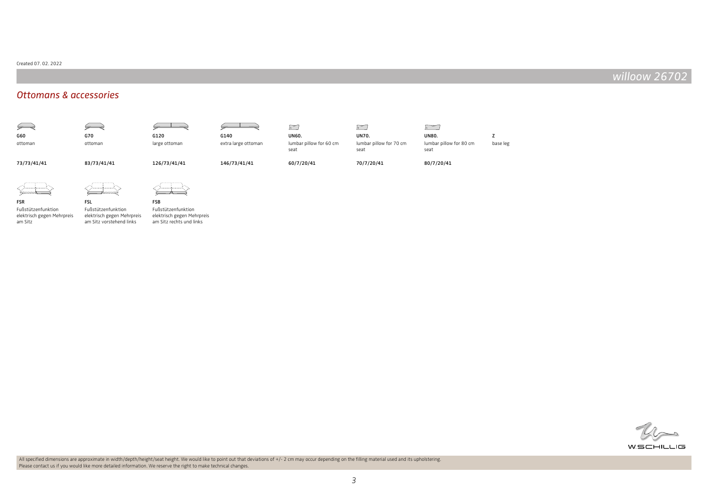#### Created 07. 02. 2022

## willoow 26702

## Ottomans & accessories





# FSL

Fußstützenfunktion



Fußstützenfunktion elektrisch gegen Mehrpreis am Sitz

elektrisch gegen Mehrpreis am Sitz vorstehend links Fußstützenfunktion elektrisch gegen Mehrpreis am Sitz rechts und links

All specified dimensions are approximate in width/depth/height/seat height. We would like to point out that deviations of +/- 2 cm may occur depending on the filling material used and its upholstering. Please contact us if you would like more detailed information. We reserve the right to make technical changes.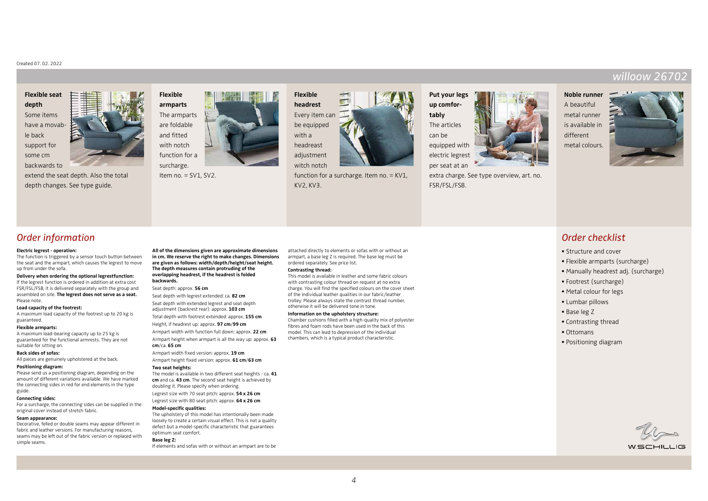#### Created 07. 02. 2022

## **Flexible seat depth** Some items have a movable back support for some cm



extend the seat depth. Also the total depth changes. See type guide.



Item  $no. = SV1$ .  $SV2$ .



Every item can be equipped adjustment witch notch



function for a surcharge. Item no. = KV1, KV2, KV3.



extra charge. See type overview, art. no. FSR/FSL/FSB.

## **Noble runner**

A beautiful metal runner is available in different metal colours.



willoow 267

## Order information

#### **Electric legrest - operation:**

The function is triggered by a sensor touch button between the seat and the armpart, which causes the legrest to move up from under the sofa.

#### **Delivery when ordering the optional legrestfunction:**

If the legrest function is ordered in addition at extra cost FSR/FSL/FSB, it is delivered separately with the group and assembled on site. **The legrest does not serve as a seat.** Please note.

#### **Load capacity of the footrest:**

A maximum load capacity of the footrest up to 20 kg is guaranteed.

#### **Flexible armparts:**

A maximum load-bearing capacity up to 25 kg is guaranteed for the functional armrests. They are not suitable for sitting on.

#### **Back sides of sofas:**

All pieces are genuinely upholstered at the back.

#### **Positioning diagram:**

Please send us a positioning diagram, depending on the amount of different variations available. We have marked the connecting sides in red for end elements in the type guide.

#### **Connecting sides:**

For a surcharge, the connecting sides can be supplied in the original cover instead of stretch fabric.

#### **Seam appearance:**

Decorative, felled or double seams may appear different in fabric and leather versions. For manufacturing reasons, seams may be left out of the fabric version or replaced with simple seams.

**All of the dimensions given are approximate dimensions in cm. We reserve the right to make changes. Dimensions are given as follows: width/depth/height/seat height. The depth measures contain protruding of the overlapping headrest, if the headrest is folded backwards.**

Seat depth: approx. **56 cm** Seat depth with legrest extended: ca. **82 cm**

Seat depth with extended legrest and seat depth

adjustment (backrest rear): approx. **103 cm**

Total depth with footrest extended: approx. **155 cm**

Height, if headrest up: approx. **97 cm**/**99 cm** Armpart width with function full down: approx. **22 cm**

Armpart height when armpart is all the way up: approx. **63 cm**/ca. **65 cm**

Armpart width fixed version: approx. **19 cm** Armpart height fixed version: approx. **61 cm**/**63 cm**

#### **Two seat heights:**

The model is available in two different seat heights - ca. **41 cm** and ca. **43 cm**. The second seat height is achieved by doubling it. Please specify when ordering. Legrest size with 70 seat pitch: approx. **54 x 26 cm**

Legrest size with 80 seat pitch: approx. **64 x 26 cm**

## **Model-specific qualities:**

The upholstery of this model has intentionally been made loosely to create a certain visual effect. This is not a quality defect but a model-specific characteristic that guarantees optimum seat comfort.

#### **Base leg Z:**

If elements and sofas with or without an armpart are to be

attached directly to elements or sofas with or without an armpart, a base leg Z is required. The base leg must be ordered separately. See price list.

#### **Contrasting thread:**

This model is available in leather and some fabric colours with contrasting colour thread on request at no extra charge. You will find the specified colours on the cover sheet of the individual leather qualities in our fabric/leather trolley. Please always state the contrast thread number, otherwise it will be delivered tone in tone.

#### **Information on the upholstery structure:**

Chamber cushions filled with a high-quality mix of polyester fibres and foam rods have been used in the back of this model. This can lead to depression of the individual chambers, which is a typical product characteristic.

## Order checklist

- Structure and cover
- Flexible armparts (surcharge)
- Manually headrest adj. (surcharge)
- Footrest (surcharge)
- Metal colour for legs
- Lumbar pillows
- Base leg Z
- Contrasting thread
- Ottomans
- Positioning diagram

WSCHILLIG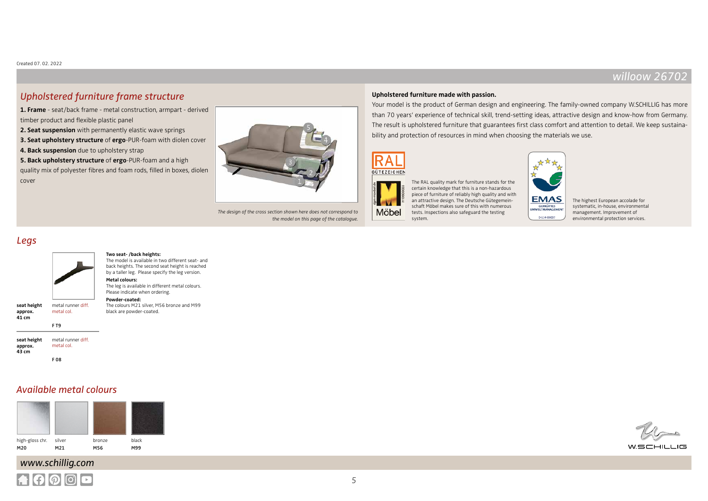$W$ SCHILL

## Upholstered furniture frame structure

**1. Frame** - seat/back frame - metal construction, armpart - derived timber product and flexible plastic panel

**2. Seat suspension** with permanently elastic wave springs

**3. Seat upholstery structure** of **ergo**-PUR-foam with diolen cover

**4. Back suspension** due to upholstery strap

**5. Back upholstery structure** of **ergo**-PUR-foam and a high quality mix of polyester fibres and foam rods, filled in boxes, diolen cover



The design of the cross section shown here does not correspond to the model on this page of the catalogue.

### **Upholstered furniture made with passion.**

Your model is the product of German design and engineering. The family-owned company W.SCHILLIG has more than 70 years' experience of technical skill, trend-setting ideas, attractive design and know-how from Germany. The result is upholstered furniture that guarantees first class comfort and attention to detail. We keep sustainability and protection of resources in mind when choosing the materials we use.



Möbel

system.

The RAL quality mark for furniture stands for the certain knowledge that this is a non-hazardous piece of furniture of reliably high quality and with an attractive design. The Deutsche Gütegemeinschaft Möbel makes sure of this with numerous tests. Inspections also safeguard the testing

**EMAS GEPRÜFTES**<br>WELTMANAGEMEN

D-114-00007

The highest European accolade for systematic, in-house, environmental management. Improvement of environmental protection services.

## Legs



#### **Two seat- /back heights:** The model is available in two different seat- and

**Powder-coated:**

black are powder-coated.

back heights. The second seat height is reached by a taller leg. Please specify the leg version. **Metal colours:**  The leg is available in different metal colours. Please indicate when ordering.

The colours M21 silver, M56 bronze and M99

**seat height approx. 41 cm** metal runner diff. metal col. F T9

**seat height approx. 43 cm** metal runner diff. metal col. F 08

## Available metal colours



## www.schillig.com